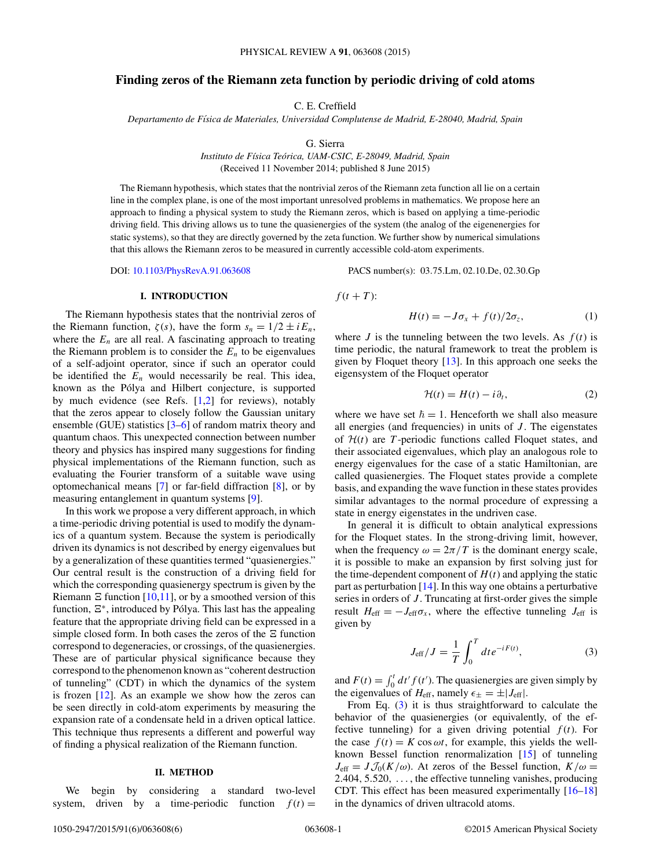# <span id="page-0-0"></span>**Finding zeros of the Riemann zeta function by periodic driving of cold atoms**

C. E. Creffield

*Departamento de F´ısica de Materiales, Universidad Complutense de Madrid, E-28040, Madrid, Spain*

G. Sierra

*Instituto de F´ısica Teorica, UAM-CSIC, E-28049, Madrid, Spain ´* (Received 11 November 2014; published 8 June 2015)

The Riemann hypothesis, which states that the nontrivial zeros of the Riemann zeta function all lie on a certain line in the complex plane, is one of the most important unresolved problems in mathematics. We propose here an approach to finding a physical system to study the Riemann zeros, which is based on applying a time-periodic driving field. This driving allows us to tune the quasienergies of the system (the analog of the eigenenergies for static systems), so that they are directly governed by the zeta function. We further show by numerical simulations that this allows the Riemann zeros to be measured in currently accessible cold-atom experiments.

DOI: [10.1103/PhysRevA.91.063608](http://dx.doi.org/10.1103/PhysRevA.91.063608) PACS number(s): 03*.*75*.*Lm*,* 02*.*10*.*De*,* 02*.*30*.*Gp

### **I. INTRODUCTION**

The Riemann hypothesis states that the nontrivial zeros of the Riemann function,  $\zeta(s)$ , have the form  $s_n = 1/2 \pm iE_n$ , where the  $E_n$  are all real. A fascinating approach to treating the Riemann problem is to consider the  $E_n$  to be eigenvalues of a self-adjoint operator, since if such an operator could be identified the  $E_n$  would necessarily be real. This idea, known as the Pólya and Hilbert conjecture, is supported by much evidence (see Refs. [\[1,2\]](#page-5-0) for reviews), notably that the zeros appear to closely follow the Gaussian unitary ensemble (GUE) statistics [\[3–6\]](#page-5-0) of random matrix theory and quantum chaos. This unexpected connection between number theory and physics has inspired many suggestions for finding physical implementations of the Riemann function, such as evaluating the Fourier transform of a suitable wave using optomechanical means [\[7\]](#page-5-0) or far-field diffraction [\[8\]](#page-5-0), or by measuring entanglement in quantum systems [\[9\]](#page-5-0).

In this work we propose a very different approach, in which a time-periodic driving potential is used to modify the dynamics of a quantum system. Because the system is periodically driven its dynamics is not described by energy eigenvalues but by a generalization of these quantities termed "quasienergies." Our central result is the construction of a driving field for which the corresponding quasienergy spectrum is given by the Riemann  $\Xi$  function [\[10,11\]](#page-5-0), or by a smoothed version of this function,  $\Xi^*$ , introduced by Pólya. This last has the appealing feature that the appropriate driving field can be expressed in a simple closed form. In both cases the zeros of the  $\Xi$  function correspond to degeneracies, or crossings, of the quasienergies. These are of particular physical significance because they correspond to the phenomenon known as "coherent destruction of tunneling" (CDT) in which the dynamics of the system is frozen [\[12\]](#page-5-0). As an example we show how the zeros can be seen directly in cold-atom experiments by measuring the expansion rate of a condensate held in a driven optical lattice. This technique thus represents a different and powerful way of finding a physical realization of the Riemann function.

# **II. METHOD**

We begin by considering a standard two-level system, driven by a time-periodic function  $f(t) =$ 

$$
f(t+T)
$$

$$
H(t) = -J\sigma_x + f(t)/2\sigma_z, \qquad (1)
$$

where *J* is the tunneling between the two levels. As  $f(t)$  is time periodic, the natural framework to treat the problem is given by Floquet theory [\[13\]](#page-5-0). In this approach one seeks the eigensystem of the Floquet operator

$$
\mathcal{H}(t) = H(t) - i\partial_t,\tag{2}
$$

where we have set  $\hbar = 1$ . Henceforth we shall also measure all energies (and frequencies) in units of *J*. The eigenstates of  $H(t)$  are *T*-periodic functions called Floquet states, and their associated eigenvalues, which play an analogous role to energy eigenvalues for the case of a static Hamiltonian, are called quasienergies. The Floquet states provide a complete basis, and expanding the wave function in these states provides similar advantages to the normal procedure of expressing a state in energy eigenstates in the undriven case.

In general it is difficult to obtain analytical expressions for the Floquet states. In the strong-driving limit, however, when the frequency  $\omega = 2\pi/T$  is the dominant energy scale, it is possible to make an expansion by first solving just for the time-dependent component of  $H(t)$  and applying the static part as perturbation [\[14\]](#page-5-0). In this way one obtains a perturbative series in orders of *J*. Truncating at first-order gives the simple result  $H_{\text{eff}} = -J_{\text{eff}}\sigma_x$ , where the effective tunneling  $J_{\text{eff}}$  is given by

$$
J_{\text{eff}}/J = \frac{1}{T} \int_0^T dt e^{-iF(t)},
$$
 (3)

and  $F(t) = \int_0^t dt' f(t')$ . The quasienergies are given simply by the eigenvalues of  $H_{\text{eff}}$ , namely  $\epsilon_{\pm} = \pm |J_{\text{eff}}|$ .

From Eq. (3) it is thus straightforward to calculate the behavior of the quasienergies (or equivalently, of the effective tunneling) for a given driving potential  $f(t)$ . For the case  $f(t) = K \cos \omega t$ , for example, this yields the wellknown Bessel function renormalization [\[15\]](#page-5-0) of tunneling  $J_{\text{eff}} = J \mathcal{J}_0(K/\omega)$ . At zeros of the Bessel function,  $K/\omega =$ 2*.*404*,* 5*.*520*, ...* , the effective tunneling vanishes, producing CDT. This effect has been measured experimentally [\[16–18\]](#page-5-0) in the dynamics of driven ultracold atoms.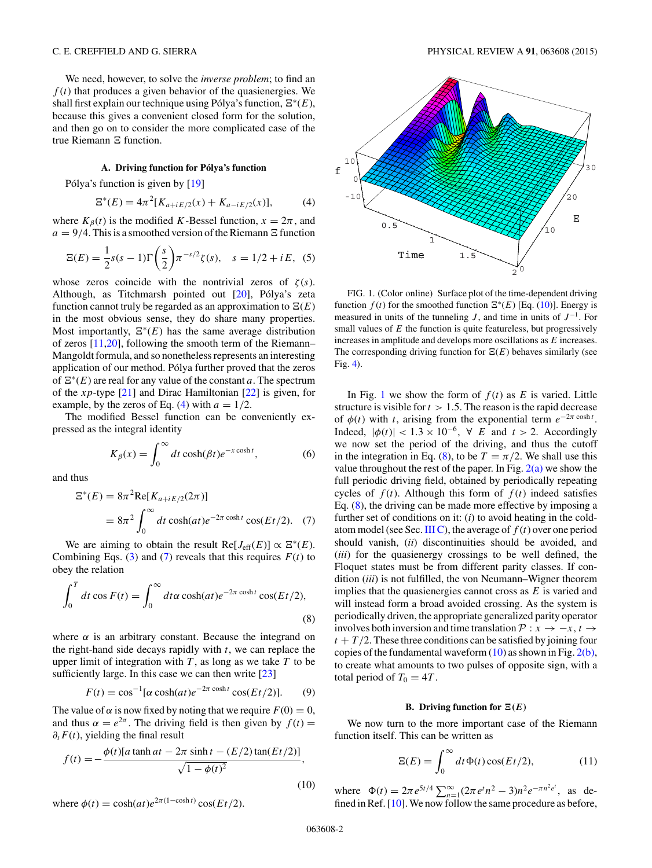<span id="page-1-0"></span>We need, however, to solve the *inverse problem*; to find an  $f(t)$  that produces a given behavior of the quasienergies. We shall first explain our technique using Pólya's function,  $\Xi^*(E)$ , because this gives a convenient closed form for the solution, and then go on to consider the more complicated case of the true Riemann  $E$  function.

### **A. Driving function for Polya's function ´**

Pólya's function is given by [[19\]](#page-5-0)

$$
\Xi^*(E) = 4\pi^2 [K_{a+iE/2}(x) + K_{a-iE/2}(x)],\tag{4}
$$

where  $K_\beta(t)$  is the modified *K*-Bessel function,  $x = 2\pi$ , and  $a = 9/4$ . This is a smoothed version of the Riemann  $\Xi$  function

$$
\Xi(E) = \frac{1}{2}s(s-1)\Gamma\left(\frac{s}{2}\right)\pi^{-s/2}\zeta(s), \quad s = 1/2 + iE, \tag{5}
$$

whose zeros coincide with the nontrivial zeros of  $\zeta(s)$ . Although, as Titchmarsh pointed out [\[20\]](#page-5-0), Pólya's zeta function cannot truly be regarded as an approximation to  $\Xi(E)$ in the most obvious sense, they do share many properties. Most importantly,  $E^*(E)$  has the same average distribution of zeros [\[11,20\]](#page-5-0), following the smooth term of the Riemann– Mangoldt formula, and so nonetheless represents an interesting application of our method. Pólya further proved that the zeros of  $\Xi^*(E)$  are real for any value of the constant *a*. The spectrum of the *xp*-type [\[21\]](#page-5-0) and Dirac Hamiltonian [\[22\]](#page-5-0) is given, for example, by the zeros of Eq. (4) with  $a = 1/2$ .

The modified Bessel function can be conveniently expressed as the integral identity

$$
K_{\beta}(x) = \int_0^{\infty} dt \cosh(\beta t) e^{-x \cosh t},
$$
 (6)

and thus

$$
\mathbb{E}^*(E) = 8\pi^2 \text{Re}[K_{a+iE/2}(2\pi)]
$$
  
=  $8\pi^2 \int_0^\infty dt \cosh(at)e^{-2\pi \cosh t} \cos(Et/2).$  (7)

We are aiming to obtain the result  $\text{Re}[J_{\text{eff}}(E)] \propto \Xi^*(E)$ . Combining Eqs. [\(3\)](#page-0-0) and (7) reveals that this requires  $F(t)$  to obey the relation

$$
\int_0^T dt \cos F(t) = \int_0^\infty dt \alpha \cosh(at) e^{-2\pi \cosh t} \cos(Et/2),
$$
\n(8)

where  $\alpha$  is an arbitrary constant. Because the integrand on the right-hand side decays rapidly with *t*, we can replace the upper limit of integration with *T* , as long as we take *T* to be sufficiently large. In this case we can then write [\[23\]](#page-5-0)

$$
F(t) = \cos^{-1}[\alpha \cosh(at)e^{-2\pi \cosh t} \cos(Et/2)].
$$
 (9)

The value of  $\alpha$  is now fixed by noting that we require  $F(0) = 0$ , and thus  $\alpha = e^{2\pi}$ . The driving field is then given by  $f(t) =$ *∂tF*(*t*), yielding the final result

$$
f(t) = -\frac{\phi(t)[a \tanh at - 2\pi \sinh t - (E/2) \tan(Et/2)]}{\sqrt{1 - \phi(t)^2}},
$$
\n(10)

where 
$$
\phi(t) = \cosh(at)e^{2\pi(1-\cosh t)}\cos(Et/2)
$$
.



FIG. 1. (Color online) Surface plot of the time-dependent driving function  $f(t)$  for the smoothed function  $\mathbb{E}^*(E)$  [Eq. (10)]. Energy is measured in units of the tunneling *J*, and time in units of  $J^{-1}$ . For small values of *E* the function is quite featureless, but progressively increases in amplitude and develops more oscillations as *E* increases. The corresponding driving function for  $E(E)$  behaves similarly (see Fig. [4\)](#page-2-0).

In Fig. 1 we show the form of  $f(t)$  as  $E$  is varied. Little structure is visible for  $t > 1.5$ . The reason is the rapid decrease of  $\phi(t)$  with *t*, arising from the exponential term  $e^{-2\pi \cosh t}$ . Indeed,  $|\phi(t)| < 1.3 \times 10^{-6}$ ,  $\forall E$  and  $t > 2$ . Accordingly we now set the period of the driving, and thus the cutoff in the integration in Eq. (8), to be  $T = \pi/2$ . We shall use this value throughout the rest of the paper. In Fig.  $2(a)$  we show the full periodic driving field, obtained by periodically repeating cycles of  $f(t)$ . Although this form of  $f(t)$  indeed satisfies Eq. (8), the driving can be made more effective by imposing a further set of conditions on it: (*i*) to avoid heating in the cold-atom model (see Sec. [III C\)](#page-3-0), the average of  $f(t)$  over one period should vanish, (*ii*) discontinuities should be avoided, and (*iii*) for the quasienergy crossings to be well defined, the Floquet states must be from different parity classes. If condition (*iii*) is not fulfilled, the von Neumann–Wigner theorem implies that the quasienergies cannot cross as *E* is varied and will instead form a broad avoided crossing. As the system is periodically driven, the appropriate generalized parity operator involves both inversion and time translation  $P: x \to -x, t \to$  $t + T/2$ . These three conditions can be satisfied by joining four copies of the fundamental waveform  $(10)$  as shown in Fig.  $2(b)$ , to create what amounts to two pulses of opposite sign, with a total period of  $T_0 = 4T$ .

#### **B.** Driving function for  $\Xi(E)$

We now turn to the more important case of the Riemann function itself. This can be written as

$$
\Xi(E) = \int_0^\infty dt \, \Phi(t) \cos(Et/2),\tag{11}
$$

where  $\Phi(t) = 2\pi e^{5t/4} \sum_{n=1}^{\infty} (2\pi e^t n^2 - 3)n^2 e^{-\pi n^2 e^t}$ , as defined in Ref.  $[10]$ . We now follow the same procedure as before,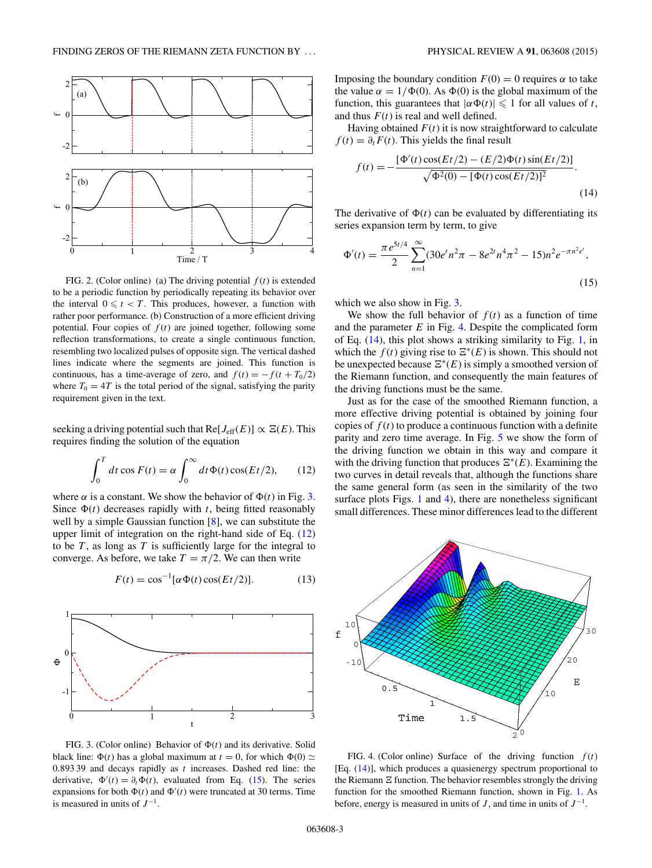<span id="page-2-0"></span>

FIG. 2. (Color online) (a) The driving potential  $f(t)$  is extended to be a periodic function by periodically repeating its behavior over the interval  $0 \leq t < T$ . This produces, however, a function with rather poor performance. (b) Construction of a more efficient driving potential. Four copies of  $f(t)$  are joined together, following some reflection transformations, to create a single continuous function, resembling two localized pulses of opposite sign. The vertical dashed lines indicate where the segments are joined. This function is continuous, has a time-average of zero, and  $f(t) = -f(t + T_0/2)$ where  $T_0 = 4T$  is the total period of the signal, satisfying the parity requirement given in the text.

seeking a driving potential such that  $\text{Re}[J_{\text{eff}}(E)] \propto \Xi(E)$ . This requires finding the solution of the equation

$$
\int_0^T dt \cos F(t) = \alpha \int_0^\infty dt \Phi(t) \cos(Et/2), \qquad (12)
$$

where  $\alpha$  is a constant. We show the behavior of  $\Phi(t)$  in Fig. 3. Since  $\Phi(t)$  decreases rapidly with *t*, being fitted reasonably well by a simple Gaussian function [\[8\]](#page-5-0), we can substitute the upper limit of integration on the right-hand side of Eq. (12) to be *T* , as long as *T* is sufficiently large for the integral to converge. As before, we take  $T = \pi/2$ . We can then write

$$
F(t) = \cos^{-1}[\alpha \Phi(t) \cos(Et/2)].
$$
 (13)



FIG. 3. (Color online) Behavior of  $\Phi(t)$  and its derivative. Solid black line:  $\Phi(t)$  has a global maximum at  $t = 0$ , for which  $\Phi(0) \simeq$ 0*.*893 39 and decays rapidly as *t* increases. Dashed red line: the derivative,  $\Phi'(t) = \partial_t \Phi(t)$ , evaluated from Eq. (15). The series expansions for both  $\Phi(t)$  and  $\Phi'(t)$  were truncated at 30 terms. Time is measured in units of  $J^{-1}$ .

Imposing the boundary condition  $F(0) = 0$  requires  $\alpha$  to take the value  $\alpha = 1/\Phi(0)$ . As  $\Phi(0)$  is the global maximum of the function, this guarantees that  $|\alpha \Phi(t)| \leq 1$  for all values of *t*, and thus  $F(t)$  is real and well defined.

Having obtained  $F(t)$  it is now straightforward to calculate  $f(t) = \partial_t F(t)$ . This yields the final result

$$
f(t) = -\frac{\left[\Phi'(t)\cos(Et/2) - (E/2)\Phi(t)\sin(Et/2)\right]}{\sqrt{\Phi^2(0) - [\Phi(t)\cos(Et/2)]^2}}.
$$
\n(14)

The derivative of  $\Phi(t)$  can be evaluated by differentiating its series expansion term by term, to give

$$
\Phi'(t) = \frac{\pi e^{5t/4}}{2} \sum_{n=1}^{\infty} (30e^t n^2 \pi - 8e^{2t} n^4 \pi^2 - 15)n^2 e^{-\pi n^2 e^t},
$$
\n(15)

which we also show in Fig. 3.

We show the full behavior of  $f(t)$  as a function of time and the parameter *E* in Fig. 4. Despite the complicated form of Eq. (14), this plot shows a striking similarity to Fig. [1,](#page-1-0) in which the  $f(t)$  giving rise to  $E^*(E)$  is shown. This should not be unexpected because  $\Xi^*(E)$  is simply a smoothed version of the Riemann function, and consequently the main features of the driving functions must be the same.

Just as for the case of the smoothed Riemann function, a more effective driving potential is obtained by joining four copies of  $f(t)$  to produce a continuous function with a definite parity and zero time average. In Fig. [5](#page-3-0) we show the form of the driving function we obtain in this way and compare it with the driving function that produces  $\Xi^*(E)$ . Examining the two curves in detail reveals that, although the functions share the same general form (as seen in the similarity of the two surface plots Figs. [1](#page-1-0) and 4), there are nonetheless significant small differences. These minor differences lead to the different



FIG. 4. (Color online) Surface of the driving function  $f(t)$ [Eq. (14)], which produces a quasienergy spectrum proportional to the Riemann  $E$  function. The behavior resembles strongly the driving function for the smoothed Riemann function, shown in Fig. [1.](#page-1-0) As before, energy is measured in units of  $J$ , and time in units of  $J^{-1}$ .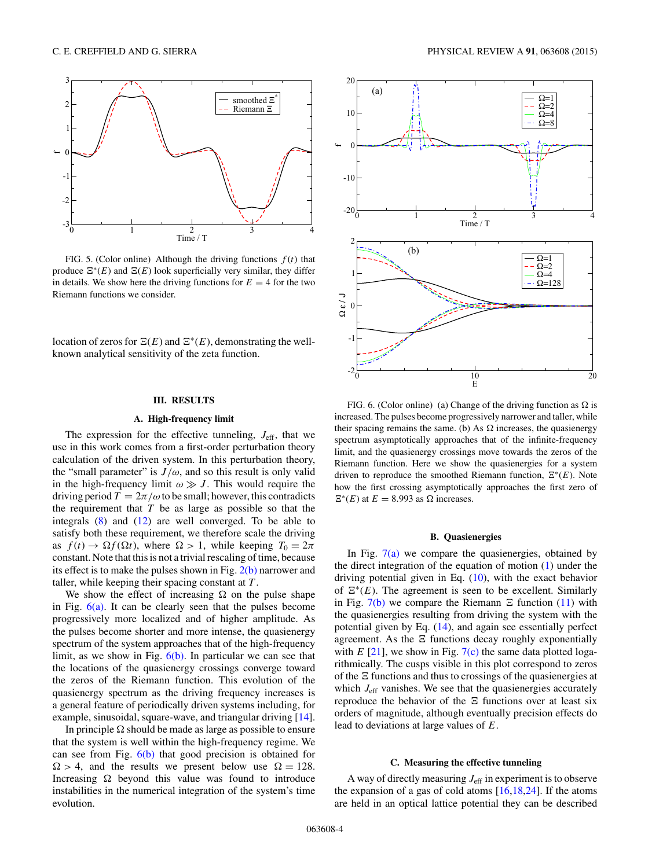<span id="page-3-0"></span>

FIG. 5. (Color online) Although the driving functions  $f(t)$  that produce  $\Xi^*(E)$  and  $\Xi(E)$  look superficially very similar, they differ in details. We show here the driving functions for  $E = 4$  for the two Riemann functions we consider.

location of zeros for  $\Xi(E)$  and  $\Xi^*(E)$ , demonstrating the wellknown analytical sensitivity of the zeta function.

## **III. RESULTS**

### **A. High-frequency limit**

The expression for the effective tunneling,  $J_{\text{eff}}$ , that we use in this work comes from a first-order perturbation theory calculation of the driven system. In this perturbation theory, the "small parameter" is  $J/\omega$ , and so this result is only valid in the high-frequency limit  $\omega \gg J$ . This would require the driving period  $T = 2\pi/\omega$  to be small; however, this contradicts the requirement that *T* be as large as possible so that the integrals  $(8)$  and  $(12)$  are well converged. To be able to satisfy both these requirement, we therefore scale the driving as  $f(t) \rightarrow \Omega f(\Omega t)$ , where  $\Omega > 1$ , while keeping  $T_0 = 2\pi$ constant. Note that this is not a trivial rescaling of time, because its effect is to make the pulses shown in Fig.  $2(b)$  narrower and taller, while keeping their spacing constant at *T* .

We show the effect of increasing  $\Omega$  on the pulse shape in Fig.  $6(a)$ . It can be clearly seen that the pulses become progressively more localized and of higher amplitude. As the pulses become shorter and more intense, the quasienergy spectrum of the system approaches that of the high-frequency limit, as we show in Fig.  $6(b)$ . In particular we can see that the locations of the quasienergy crossings converge toward the zeros of the Riemann function. This evolution of the quasienergy spectrum as the driving frequency increases is a general feature of periodically driven systems including, for example, sinusoidal, square-wave, and triangular driving [\[14\]](#page-5-0).

In principle  $\Omega$  should be made as large as possible to ensure that the system is well within the high-frequency regime. We can see from Fig.  $6(b)$  that good precision is obtained for  $\Omega > 4$ , and the results we present below use  $\Omega = 128$ . Increasing  $\Omega$  beyond this value was found to introduce instabilities in the numerical integration of the system's time evolution.



FIG. 6. (Color online) (a) Change of the driving function as  $\Omega$  is increased. The pulses become progressively narrower and taller, while their spacing remains the same. (b) As  $\Omega$  increases, the quasienergy spectrum asymptotically approaches that of the infinite-frequency limit, and the quasienergy crossings move towards the zeros of the Riemann function. Here we show the quasienergies for a system driven to reproduce the smoothed Riemann function,  $E^*(E)$ . Note how the first crossing asymptotically approaches the first zero of  $E^*(E)$  at  $E = 8.993$  as  $\Omega$  increases.

#### **B. Quasienergies**

In Fig.  $7(a)$  we compare the quasienergies, obtained by the direct integration of the equation of motion [\(1\)](#page-0-0) under the driving potential given in Eq.  $(10)$ , with the exact behavior of  $E^*(E)$ . The agreement is seen to be excellent. Similarly in Fig.  $7(b)$  we compare the Riemann  $E$  function [\(11\)](#page-1-0) with the quasienergies resulting from driving the system with the potential given by Eq. [\(14\)](#page-2-0), and again see essentially perfect agreement. As the  $E$  functions decay roughly exponentially with  $E$  [\[21\]](#page-5-0), we show in Fig.  $7(c)$  the same data plotted logarithmically. The cusps visible in this plot correspond to zeros of the  $E$  functions and thus to crossings of the quasienergies at which *J*<sub>eff</sub> vanishes. We see that the quasienergies accurately reproduce the behavior of the  $E$  functions over at least six orders of magnitude, although eventually precision effects do lead to deviations at large values of *E*.

# **C. Measuring the effective tunneling**

A way of directly measuring *J*eff in experiment is to observe the expansion of a gas of cold atoms  $[16,18,24]$ . If the atoms are held in an optical lattice potential they can be described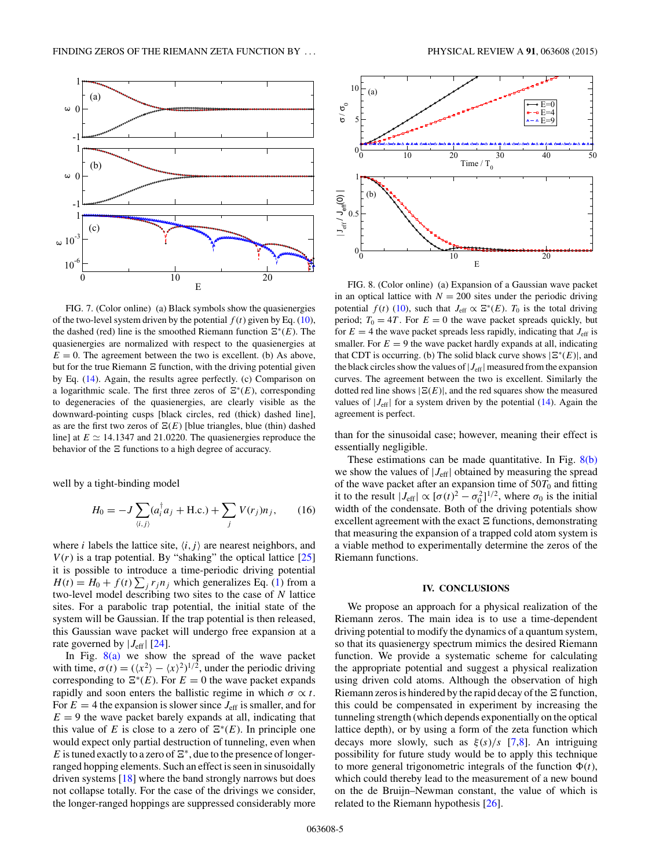<span id="page-4-0"></span>

FIG. 7. (Color online) (a) Black symbols show the quasienergies of the two-level system driven by the potential  $f(t)$  given by Eq. [\(10\)](#page-1-0), the dashed (red) line is the smoothed Riemann function  $\Xi^*(E)$ . The quasienergies are normalized with respect to the quasienergies at  $E = 0$ . The agreement between the two is excellent. (b) As above, but for the true Riemann  $E$  function, with the driving potential given by Eq. [\(14\)](#page-2-0). Again, the results agree perfectly. (c) Comparison on a logarithmic scale. The first three zeros of  $\Xi^*(E)$ , corresponding to degeneracies of the quasienergies, are clearly visible as the downward-pointing cusps [black circles, red (thick) dashed line], as are the first two zeros of  $E(E)$  [blue triangles, blue (thin) dashed line] at  $E \simeq 14.1347$  and 21.0220. The quasienergies reproduce the behavior of the  $\Xi$  functions to a high degree of accuracy.

well by a tight-binding model

$$
H_0 = -J \sum_{\langle i,j \rangle} (a_i^{\dagger} a_j + \text{H.c.}) + \sum_j V(r_j) n_j, \qquad (16)
$$

where *i* labels the lattice site,  $\langle i, j \rangle$  are nearest neighbors, and  $V(r)$  is a trap potential. By "shaking" the optical lattice [\[25\]](#page-5-0) it is possible to introduce a time-periodic driving potential  $H(t) = H_0 + f(t) \sum_j r_j n_j$  which generalizes Eq. [\(1\)](#page-0-0) from a two-level model describing two sites to the case of *N* lattice sites. For a parabolic trap potential, the initial state of the system will be Gaussian. If the trap potential is then released, this Gaussian wave packet will undergo free expansion at a rate governed by  $|J_{\text{eff}}|$  [\[24\]](#page-5-0).

In Fig.  $8(a)$  we show the spread of the wave packet with time,  $\sigma(t) = (x^2) - (x)^2$ <sup>1/2</sup>, under the periodic driving corresponding to  $\Xi^*(E)$ . For  $E = 0$  the wave packet expands rapidly and soon enters the ballistic regime in which  $\sigma \propto t$ . For  $E = 4$  the expansion is slower since  $J_{\text{eff}}$  is smaller, and for  $E = 9$  the wave packet barely expands at all, indicating that this value of *E* is close to a zero of  $\Xi^*(E)$ . In principle one would expect only partial destruction of tunneling, even when *E* is tuned exactly to a zero of  $\Xi^*$ , due to the presence of longerranged hopping elements. Such an effect is seen in sinusoidally driven systems [\[18\]](#page-5-0) where the band strongly narrows but does not collapse totally. For the case of the drivings we consider, the longer-ranged hoppings are suppressed considerably more



FIG. 8. (Color online) (a) Expansion of a Gaussian wave packet in an optical lattice with  $N = 200$  sites under the periodic driving potential  $f(t)$  [\(10\)](#page-1-0), such that  $J_{\text{eff}} \propto \Xi^*(E)$ .  $T_0$  is the total driving period;  $T_0 = 4T$ . For  $E = 0$  the wave packet spreads quickly, but for  $E = 4$  the wave packet spreads less rapidly, indicating that  $J_{\text{eff}}$  is smaller. For  $E = 9$  the wave packet hardly expands at all, indicating that CDT is occurring. (b) The solid black curve shows  $\left[\Xi^*(E)\right]$ , and the black circles show the values of  $|J_{\text{eff}}|$  measured from the expansion curves. The agreement between the two is excellent. Similarly the dotted red line shows  $|E(E)|$ , and the red squares show the measured values of  $|J_{\text{eff}}|$  for a system driven by the potential [\(14\)](#page-2-0). Again the agreement is perfect.

than for the sinusoidal case; however, meaning their effect is essentially negligible.

These estimations can be made quantitative. In Fig.  $8(b)$ we show the values of  $|J_{\text{eff}}|$  obtained by measuring the spread of the wave packet after an expansion time of  $50T<sub>0</sub>$  and fitting it to the result  $|J_{\text{eff}}| \propto [\sigma(t)^2 - \sigma_0^2]^{1/2}$ , where  $\sigma_0$  is the initial width of the condensate. Both of the driving potentials show excellent agreement with the exact  $\Xi$  functions, demonstrating that measuring the expansion of a trapped cold atom system is a viable method to experimentally determine the zeros of the Riemann functions.

# **IV. CONCLUSIONS**

We propose an approach for a physical realization of the Riemann zeros. The main idea is to use a time-dependent driving potential to modify the dynamics of a quantum system, so that its quasienergy spectrum mimics the desired Riemann function. We provide a systematic scheme for calculating the appropriate potential and suggest a physical realization using driven cold atoms. Although the observation of high Riemann zeros is hindered by the rapid decay of the  $E$  function, this could be compensated in experiment by increasing the tunneling strength (which depends exponentially on the optical lattice depth), or by using a form of the zeta function which decays more slowly, such as *ξ* (*s*)*/s* [\[7,8\]](#page-5-0). An intriguing possibility for future study would be to apply this technique to more general trigonometric integrals of the function  $\Phi(t)$ , which could thereby lead to the measurement of a new bound on the de Bruijn–Newman constant, the value of which is related to the Riemann hypothesis [\[26\]](#page-5-0).